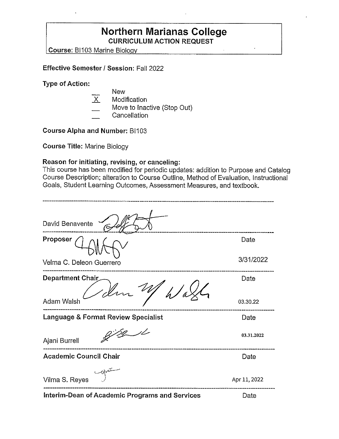# **Northern Marianas College CURRICULUM ACTION REQUEST**

**Course: BI103 Marine Biology** 

#### **Effective Semester/ Session:** Fall 2022

**Type of Action:** 

|                   | <b>New</b>                  |
|-------------------|-----------------------------|
| $\overline{\chi}$ | Modification                |
|                   | Move to Inactive (Stop Out) |
|                   |                             |

**Cancellation** 

**Course Alpha and Number:** BI103

**Course Title:** Marine Biology

#### **Reason for initiating, revising, or canceling:**

This course has been modified for periodic updates: addition to Purpose and Catalog Course Description; alteration to Course Outline, Method of Evaluation, Instructional Goals, Student Learning Outcomes, Assessment Measures, and textbook.

| David Benavente                                       |              |
|-------------------------------------------------------|--------------|
| Proposer                                              | Date         |
| Velma C. Deleon Guerrero                              | 3/31/2022    |
| Department Chair                                      | Date         |
| Adam Walsh                                            | 03.30.22     |
| <b>Language &amp; Format Review Specialist</b>        | Date         |
| Ajani Burrell                                         | 03.31.2022   |
| <b>Academic Council Chair</b>                         | Date         |
| Vilma S. Reyes                                        | Apr 11, 2022 |
| <b>Interim-Dean of Academic Programs and Services</b> | Date         |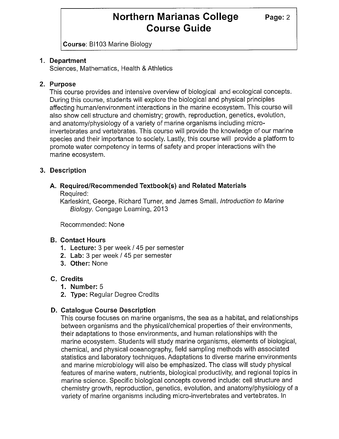# **Northern Marianas College Page: 2 Course Guide**

**Course:** BI103 Marine Biology

# **1. Department**

Sciences, Mathematics, Health & Athletics

# **2. Purpose**

This course provides and intensive overview of biological and ecological concepts. During this course, students will explore the biological and physical principles affecting human/environment interactions in the marine ecosystem. This course will also show cell structure and chemistry; growth, reproduction, genetics, evolution, and anatomy/physiology of a variety of marine organisms including microinvertebrates and vertebrates. This course will provide the knowledge of our marine species and their importance to society. Lastly, this course will provide a platform to promote water competency in terms of safety and proper interactions with the marine ecosystem.

# **3. Description**

#### **A. Required/Recommended Textbook(s) and Related Materials**  Required:

Karleskint, George, Richard Turner, and James Small. Introduction to Marine Biology. Cengage Learning, 2013

Recommended: None

# **B. Contact Hours**

- **1. Lecture:** 3 per week / 45 per semester
- **2. Lab:** 3 per week/ 45 per semester
- **3. Other:** None

# **C. Credits**

- **1. Number:** 5
- **2. Type:** Regular Degree Credits

# **D. Catalogue Course Description**

This course focuses on marine organisms, the sea as a habitat, and relationships between organisms and the physical/chemical properties of their environments, their adaptations to those environments, and human relationships with the marine ecosystem. Students will study marine organisms, elements of biological, chemical, and physical oceanography, field sampling methods with associated statistics and laboratory techniques. Adaptations to diverse marine environments and marine microbiology will also be emphasized. The class will study physical features of marine waters, nutrients, biological productivity, and regional topics in marine science. Specific biological concepts covered include: cell structure and chemistry growth, reproduction, genetics, evolution, and anatomy/physiology of a variety of marine organisms including micro-invertebrates and vertebrates. In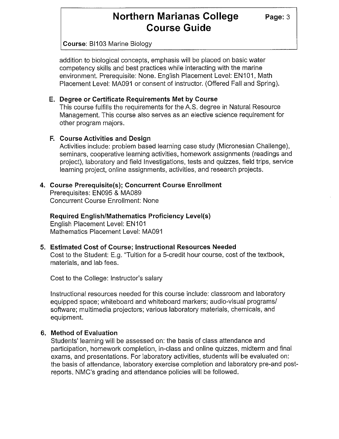# **Northern Marianas College** Page: 3 **Course Guide**

**Course:** BI103 Marine Biology

addition to biological concepts, emphasis will be placed on basic water competency skills and best practices while interacting with the marine environment. Prerequisite: None. English Placement Level: EN101, Math Placement Level: MA091 or consent of instructor. (Offered Fall and Spring).

#### **E. Degree or Certificate Requirements Met by Course**

This course fulfills the requirements for the A.S. degree in Natural Resource Management. This course also serves as an elective science requirement for other program majors.

#### **F. Course Activities and Design**

Activities include: problem based learning case study (Micronesian Challenge), seminars, cooperative learning activities, homework assignments (readings and project), laboratory and field Investigations, tests and quizzes, field trips, service learning project, online assignments, activities, and research projects.

# **4. Course Prerequisite(s); Concurrent Course Enrollment**

Prerequisites: EN095 & MA089 Concurrent Course Enrollment: None

**Required English/Mathematics Proficiency Level(s)** 

English Placement Level: EN101 Mathematics Placement Level: MA091

# **5. Estimated Cost of Course; Instructional Resources Needed**

Cost to the Student: E.g. "Tuition for a 5-credit hour course, cost of the textbook, materials, and lab fees.

Cost to the College: Instructor's salary

Instructional resources needed for this course include: classroom and laboratory equipped space; whiteboard and whiteboard markers; audio-visual programs/ software; multimedia projectors; various laboratory materials, chemicals, and equipment.

# **6. Method of Evaluation**

Students' learning will be assessed on: the basis of class attendance and participation, homework completion, in-class and online quizzes, midterm and final exams, and presentations. For laboratory activities, students will be evaluated on: the basis of attendance, laboratory exercise completion and laboratory pre-and postreports. NMC's grading and attendance policies will be followed.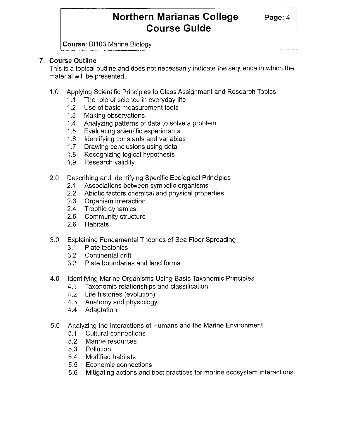# **Northern Marianas College Page: 4 Course Guide**

**Course:** BI103 Marine Biology

# **7. Course Outline**

This is a topical outline and does not necessarily indicate the sequence in which the material will be presented.

- 1.0 Applying Scientific Principles to Class Assignment and Research Topics
	- 1.1 The role of science in everyday life
	- 1.2 Use of basic measurement tools
	- 1.3 Making observations
	- 1.4 Analyzing patterns of data to solve a problem
	- 1.5 Evaluating scientific experiments
	- 1.6 Identifying constants and variables
	- 1.7 Drawing conclusions using data
	- 1.8 Recognizing logical hypothesis
	- 1.9 Research validity
- 2.0 Describing and Identifying Specific Ecological Principles
	- 2.1 Associations between symbolic organisms
	- 2.2 Abiotic factors chemical and physical properties
	- 2.3 Organism interaction
	- 2.4 Trophic dynamics
	- 2.5 Community structure
	- 2.6 Habitats
- 3.0 Explaining Fundamental Theories of Sea Floor Spreading
	- 3.1 Plate tectonics
	- 3.2 Continental drift
	- 3.3 Plate boundaries and land forms
- 4.0 Identifying Marine Organisms Using Basic Taxonomic Principles
	- 4.1 Taxonomic relationships and classification
	- 4.2 Life histories (evolution)
	- 4.3 Anatomy and physiology
	- 4.4 Adaptation
- 5.0 Analyzing the Interactions of Humans and the Marine Environment
	- 5.1 Cultural connections
	- 5.2 Marine resources
	- 5.3 Pollution
	- 5.4 Modified habitats
	- 5.5 Economic connections
	- 5.6 Mitigating actions and best practices for marine ecosystem interactions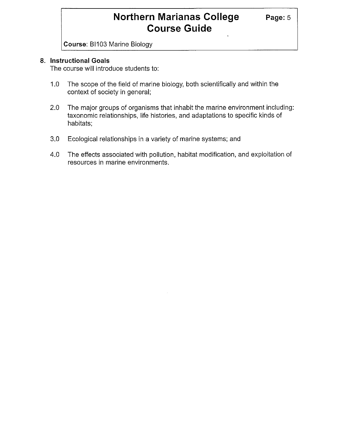# **Northern Marianas College Page: 5 Course Guide**

**Course:** BI103 Marine Biology

### **8. Instructional Goals**

The course will introduce students to:

- 1.0 The scope of the field of marine biology, both scientifically and within the context of society in general;
- 2.0 The major groups of organisms that inhabit the marine environment including: taxonomic relationships, life histories, and adaptations to specific kinds of habitats;
- 3.0 Ecological relationships in a variety of marine systems; and
- 4.0 The effects associated with pollution, habitat modification, and exploitation of resources in marine environments.